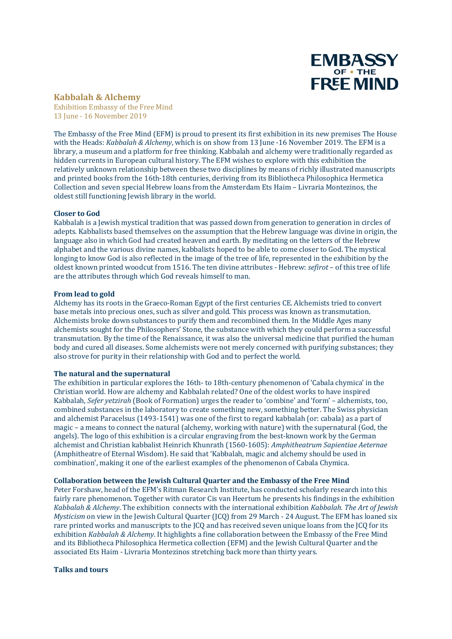

# **Kabbalah & Alchemy**

Exhibition Embassy of the Free Mind 13 June - 16 November 2019

The Embassy of the Free Mind (EFM) is proud to present its first exhibition in its new premises The House with the Heads: *Kabbalah & Alchemy*, which is on show from 13 June -16 November 2019. The EFM is a library, a museum and a platform for free thinking. Kabbalah and alchemy were traditionally regarded as hidden currents in European cultural history. The EFM wishes to explore with this exhibition the relatively unknown relationship between these two disciplines by means of richly illustrated manuscripts and printed books from the 16th-18th centuries, deriving from its Bibliotheca Philosophica Hermetica Collection and seven special Hebrew loans from the Amsterdam Ets Haim – Livraria Montezinos, the oldest still functioning Jewish library in the world.

### **Closer to God**

Kabbalah is a Jewish mystical tradition that was passed down from generation to generation in circles of adepts. Kabbalists based themselves on the assumption that the Hebrew language was divine in origin, the language also in which God had created heaven and earth. By meditating on the letters of the Hebrew alphabet and the various divine names, kabbalists hoped to be able to come closer to God. The mystical longing to know God is also reflected in the image of the tree of life, represented in the exhibition by the oldest known printed woodcut from 1516. The ten divine attributes *-* Hebrew: *sefirot* – of this tree of life are the attributes through which God reveals himself to man.

### **From lead to gold**

Alchemy has its roots in the Graeco-Roman Egypt of the first centuries CE. Alchemists tried to convert base metals into precious ones, such as silver and gold. This process was known as transmutation. Alchemists broke down substances to purify them and recombined them. In the Middle Ages many alchemists sought for the Philosophers' Stone, the substance with which they could perform a successful transmutation. By the time of the Renaissance, it was also the universal medicine that purified the human body and cured all diseases. Some alchemists were not merely concerned with purifying substances; they also strove for purity in their relationship with God and to perfect the world.

### **The natural and the supernatural**

The exhibition in particular explores the 16th- to 18th-century phenomenon of 'Cabala chymica' in the Christian world. How are alchemy and Kabbalah related? One of the oldest works to have inspired Kabbalah, *Sefer yetzirah* (Book of Formation) urges the reader to 'combine' and 'form' – alchemists, too, combined substances in the laboratory to create something new, something better. The Swiss physician and alchemist Paracelsus (1493-1541) was one of the first to regard kabbalah (or: cabala) as a part of magic – a means to connect the natural (alchemy, working with nature) with the supernatural (God, the angels). The logo of this exhibition is a circular engraving from the best-known work by the German alchemist and Christian kabbalist Heinrich Khunrath (1560-1605): *Amphitheatrum Sapientiae Aeternae* (Amphitheatre of Eternal Wisdom). He said that 'Kabbalah, magic and alchemy should be used in combination', making it one of the earliest examples of the phenomenon of Cabala Chymica.

# **Collaboration between the Jewish Cultural Quarter and the Embassy of the Free Mind**

Peter Forshaw, head of the EFM's Ritman Research Institute, has conducted scholarly research into this fairly rare phenomenon. Together with curator Cis van Heertum he presents his findings in the exhibition *Kabbalah & Alchemy*. The exhibition connects with the international exhibition *Kabbalah. The Art of Jewish Mysticism* on view in the Jewish Cultural Quarter (JCQ) from 29 March - 24 August. The EFM has loaned six rare printed works and manuscripts to the JCQ and has received seven unique loans from the JCQ for its exhibition *Kabbalah & Alchemy*. It highlights a fine collaboration between the Embassy of the Free Mind and its Bibliotheca Philosophica Hermetica collection (EFM) and the Jewish Cultural Quarter and the associated Ets Haim - Livraria Montezinos stretching back more than thirty years.

### **Talks and tours**